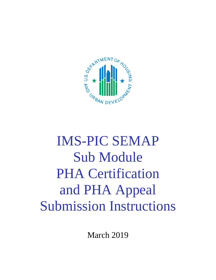

# IMS-PIC SEMAP Sub Module PHA Certification and PHA Appeal Submission Instructions

March 2019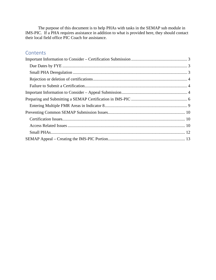The purpose of this document is to help PHAs with tasks in the SEMAP sub module in IMS-PIC. If a PHA requires assistance in addition to what is provided here, they should contact their local field office PIC Coach for assistance.

## **Contents**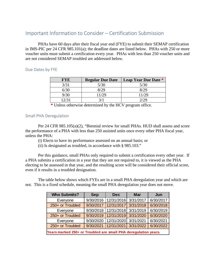## <span id="page-2-0"></span>Important Information to Consider – Certification Submission

PHAs have 60 days after their fiscal year end (FYE) to submit their SEMAP certification in IMS-PIC per 24 CFR 985.101(a); the deadline dates are listed below. PHAs with 250 or more voucher units must submit a certification every year. PHAs with less than 250 voucher units and are not considered SEMAP troubled are addressed below.

### <span id="page-2-1"></span>Due Dates by FYE

| <b>FYE</b> | <b>Regular Due Date</b> | <b>Leap Year Due Date *</b> |
|------------|-------------------------|-----------------------------|
| 3/31       | 5/30                    | 5/30                        |
|            |                         |                             |
| 9/30       | 11/29                   | 11/29                       |
| 12/3       |                         |                             |

**\*** Unless otherwise determined by the HCV program office.

#### <span id="page-2-2"></span>Small PHA Deregulation

Per 24 CFR 985.105(a)(2), "Biennial review for small PHAs. HUD shall assess and score the performance of a PHA with less than 250 assisted units once every other PHA fiscal year, unless the PHA:

(i) Elects to have its performance assessed on an annual basis; or

(ii) Is designated as troubled, in accordance with § 985.103."

Per this guidance, small PHAs only required to submit a certification every other year. If a PHA submits a certification in a year that they are not required to, it is viewed as the PHA electing to be assessed in that year, and the resulting score will be considered their official score, even if it results in a troubled designation.

The table below shows which FYEs are in a small PHA deregulation year and which are not. This is a fixed schedule, meaning the small PHA deregulation year does not move.

| <b>Who Submits?</b>                                             | <b>Sep</b> | <b>Dec</b> | <b>Mar</b> | Jun       |
|-----------------------------------------------------------------|------------|------------|------------|-----------|
| Everyone                                                        | 9/30/2016  | 12/31/2016 | 3/31/2017  | 6/30/2017 |
| 250+ or Troubled                                                | 9/30/2017  | 12/31/2017 | 3/31/2018  | 6/30/2018 |
| Everyone                                                        | 9/30/2018  | 12/31/2018 | 3/31/2019  | 6/30/2019 |
| 250+ or Troubled                                                | 9/30/2019  | 12/31/2019 | 3/31/2020  | 6/30/2020 |
| Everyone                                                        | 9/30/2020  | 12/31/2020 | 3/31/2021  | 6/30/2021 |
| 250+ or Troubled                                                | 9/30/2021  | 12/31/2021 | 3/31/2022  | 6/30/2022 |
| Years marked 250+ or Troubled are small PHA deregulation years. |            |            |            |           |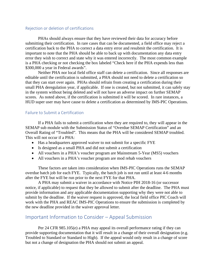#### <span id="page-3-0"></span>Rejection or deletion of certifications

PHAs should always ensure that they have reviewed their data for accuracy before submitting their certification. In rare cases that can be documented, a field office may reject a certification back to the PHA to correct a data entry error and resubmit the certification. It is important to note that the PHA should be able to back up with documentation any data entry error they wish to correct and state why it was entered incorrectly. The most common example is a PHA checking or not checking the box labeled "Check here if the PHA expends less than \$300,000 a year in Federal awards".

Neither PHA nor local field office staff can delete a certification. Since all responses are editable until the certification is submitted, a PHA should not need to delete a certification so that they can start over again. PHAs should refrain from creating a certification during their small PHA deregulation year, if applicable. If one is created, but not submitted, it can safely stay in the system without being deleted and will not have an adverse impact on further SEMAP scores. As noted above, if the certification is submitted it will be scored. In rare instances, a HUD super user may have cause to delete a certification as determined by IMS-PIC Operations.

#### <span id="page-3-1"></span>Failure to Submit a Certification

If a PHA fails to submit a certification when they are required to, they will appear in the SEMAP sub module with the Submission Status of "Overdue SEMAP Certification" and an Overall Rating of "Troubled". This means that the PHA will be considered SEMAP troubled. This will not occur if a PHA:

- Has a headquarters approved waiver to not submit for a specific FYE
- Is designed as a small PHA and did not submit a certification
- All vouchers in a PHA's voucher program are Mainstream 5-Year (MS5) vouchers
- All vouchers in a PHA's voucher program are mod rehab vouchers

These factors are taken into consideration when IMS-PIC Operations runs the SEMAP overdue batch job for each FYE. Typically, the batch job is not run until at least 4-6 months after the FYE but will be run prior to the next FYE for that PHA.

A PHA may submit a waiver in accordance with Notice PIH 2018-16 (or successor notice, if applicable) to request that they be allowed to submit after the deadline. The PHA must provide information and any applicable documentation supporting why they were not able to submit by the deadline. If the waiver request is approved, the local field office PIC Coach will work with the PHA and REAC IMS-PIC Operations to ensure the submission is completed by the new deadline provided in the waiver approval letter.

## <span id="page-3-2"></span>Important Information to Consider – Appeal Submission

Per 24 CFR 985.105(e) a PHA may appeal its overall performance rating if they can provide supporting documentation that it will result in a change of their overall designation (e.g. Troubled to Standard or Standard to High). If the appeal would only result in a change of score but not a change of designation the PHA should not submit an appeal.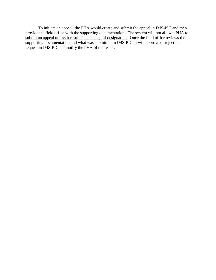To initiate an appeal, the PHA would create and submit the appeal in IMS-PIC and then provide the field office with the supporting documentation. The system will not allow a PHA to submit an appeal unless it results in a change of designation. Once the field office reviews the supporting documentation and what was submitted in IMS-PIC, it will approve or reject the request in IMS-PIC and notify the PHA of the result.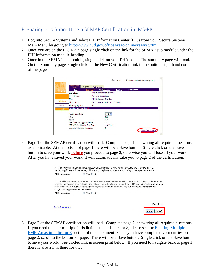# <span id="page-5-0"></span>Preparing and Submitting a SEMAP Certification in IMS-PIC

- 1. Log into Secure Systems and select PIH Information Center (PIC) from your Secure Systems Main Menu by going to<http://www.hud.gov/offices/reac/online/reasyst.cfm>
- 2. Once you are on the PIC Main page single click on the link for the SEMAP sub module under the PIH Information module heading.
- 3. Once in the SEMAP sub module, single click on your PHA code. The summary page will load.
- 4. On the Summary page, single click on the New Certification link in the bottom right hand corner of the page.

|                 | ssessment<br>Reports<br>Profile<br>List | <b>Submission</b><br><b>Summary</b> | <b>Certification</b> | <b>Profile</b> | U Logoff / Return to Secure Systems<br><b>Comments</b> |
|-----------------|-----------------------------------------|-------------------------------------|----------------------|----------------|--------------------------------------------------------|
| pic             | HQ Office:                              | <b>Public and Indian Housing</b>    |                      |                |                                                        |
|                 | <b>HQ Division:</b>                     | <b>PO Field Operations</b>          |                      |                |                                                        |
|                 | Hub:                                    | <b>7HKNC Kansas City Hub</b>        |                      |                |                                                        |
| <b>PIC Main</b> | Field Office:                           | <b>7DPH OMAHA PROGRAM CENTER</b>    |                      |                |                                                        |
| <b>SEMAP</b>    | Housing Agency:                         | <b>NE</b>                           |                      |                |                                                        |
| Logoff          | <b>Housing Agency Details</b>           |                                     |                      |                |                                                        |
|                 | PHA Fiscal Year:                        |                                     | $2012 -$             |                |                                                        |
|                 | FY <sub>F</sub>                         |                                     | 9/30                 |                |                                                        |
|                 | Status:                                 |                                     | New                  |                |                                                        |
|                 | Exec Director Approval Date:            |                                     | --                   |                |                                                        |
|                 | <b>SEMAP Certification Due Date:</b>    |                                     | 11/29/2012           |                |                                                        |
|                 | Corrective Actions Required:            |                                     | $\mathbf{0}$         |                |                                                        |

5. Page 1 of the SEMAP certification will load. Complete page 1, answering all required questions, as applicable. At the bottom of page 1 there will be a Save button. Single click on the Save button to save your work **before** you proceed to page 2, otherwise you will lose all your work. After you have saved your work, it will automatically take you to page 2 of the certification.

|                                     | e. The PHA's information packet includes an explanation of how portability works and includes a list of<br>neighboring PHAs with the name, address and telephone number of a portability contact person at each.                                                                                                                                   |               |
|-------------------------------------|----------------------------------------------------------------------------------------------------------------------------------------------------------------------------------------------------------------------------------------------------------------------------------------------------------------------------------------------------|---------------|
| <b>PHA Response</b>                 | O Yes O No                                                                                                                                                                                                                                                                                                                                         |               |
| sought HUD approval when necessary. | f. The PHA has analyzed whether voucher holders have experienced difficulties in finding housing outside areas<br>of poverty or minority concentration and, where such difficulties were found, the PHA has considered whether it is<br>appropriate to seek approval of exception payment standard amounts in any part of its jurisdiction and has |               |
| <b>PHA Response</b>                 | ○ Yes ○ No                                                                                                                                                                                                                                                                                                                                         |               |
|                                     |                                                                                                                                                                                                                                                                                                                                                    | Page 1 of 2   |
| Go to Comments                      |                                                                                                                                                                                                                                                                                                                                                    | Reset<br>Save |

6. Page 2 of the SEMAP certification will load. Complete page 2, answering all required questions. If you need to enter multiple jurisdictions under Indicator 8, please see the [Entering Multiple](#page-8-0)  FMR Areas in Indicator 8 [section of this document. Once you have completed your entries on](#page-8-0)  page 2, scroll to the bottom of page. There will be a Save button. Single click on the Save button to save your work. See circled link in screen print below. If you need to navigate back to page 1 there is also a link there for that.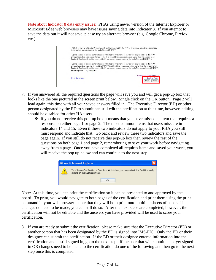Note about Indicator 8 data entry issues: PHAs using newer version of the Internet Explorer or Microsoft Edge web browsers may have issues saving data into Indicator 8. If you attempt to save the data but it will not save, please try an alternate browser (e.g. Google Chrome, Firefox, etc.).

| (1) Half or more of all Section 8 families with children assisted by the PHA in its principal operating area resided<br>in low poverty census tracts at the end of the last PHA FY;                                                                                                                                                                                                           |
|-----------------------------------------------------------------------------------------------------------------------------------------------------------------------------------------------------------------------------------------------------------------------------------------------------------------------------------------------------------------------------------------------|
| (2) The percent of Section 8 mover families with children who moved to low poverty census tracts in the PHA's<br>principal operating area during the last PHA FY is atleast two percentage points higher than the percent of all<br>Section 8 families with children who resided in low poverty census tracts at the end of the last PHA FY; or                                               |
| (3) The percent of Section 8 mover families with children who moved to low poverty census tracts in the PHA's<br>principal operating area over the last two PHA FY is at least two percentage points higher than the percent of all<br>Section 8 families with children who resided in low poverty census tracts at the end of the second to last PHA FY.<br>$OYes$ Mo<br><b>PHA Response</b> |
| <b>Deconcentration Addendum</b><br>Go to Comments<br><b>Back to Page1</b><br>Reset<br>Save                                                                                                                                                                                                                                                                                                    |

- 7. If you answered all the required questions the page will save you and will get a pop-up box that looks like the one pictured in the screen print below. Single click on the OK button. Page 2 will load again, this time with all your saved answers filled in. The Executive Director (ED) or other person designated by the ED to submit can still edit the certification at this time, however, editing should be disabled for other HA users.
	- $\cdot \cdot$  If you do not receive this pop-up box it means that you have missed an item that requires a response on either page 1 or page 2. The most common items that users miss are in indicators 14 and 15. Even if these two indicators do not apply to your PHA you still must respond and indicate that. Go back and review these two indicators and save the page again. If you still do not receive this pop-up box then review the rest of the questions on both page 1 and page 2, remembering to save your work before navigating away from a page. Once you have completed all requires items and saved your work, you will receive the pop up below and can continue to the next step.

| <b>Microsoft Internet Explorer</b>                                                                                         |
|----------------------------------------------------------------------------------------------------------------------------|
| Your Semap Certification is Complete. At this time, you may submit the Certification by<br>clicking on the Submission tab. |
|                                                                                                                            |

Note: At this time, you can print the certification so it can be presented to and approved by the board. To print, you would navigate to both pages of the certification and print them using the print command in your web browser – note that they will both print onto multiple sheets of paper. If changes do need to be made, you can still do so. After the next steps are completed, however, the certification will not be editable and the answers you have provided will be used to score your certification.

8. If you are ready to submit the certification, please make sure that the Executive Director (ED) or another person that has been designated by the ED is signed into IMS-PIC. Only the ED or their designee can submit the certification. If the ED or their designee entered information into the certification and is still signed in, go to the next step. If the user that will submit is not yet signed in OR changes need to be made to the certification do one of the following and then go to the next step once this is completed.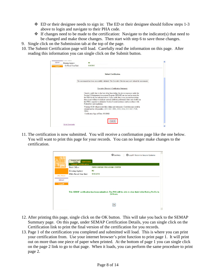- $\div$  ED or their designee needs to sign in: The ED or their designee should follow steps 1-3 above to login and navigate to their PHA code.
- $\triangleleft$  If changes need to be made to the certification: Navigate to the indicator(s) that need to be changed and make those changes. Then start with step 6 to save those changes.
- 9. Single click on the Submission tab at the top of the page.
- 10. The Submit Certification page will load. Carefully read the information on this page. After reading this information you can single click on the Submit button.

| SEMAP<br>Logoff | Housing Agency:<br><b>HA Fiscal Year End:</b> | <b>NE</b><br>9/30/2012                                                                                                                                                                                                                                                                                                                                                                                                                                             |  |
|-----------------|-----------------------------------------------|--------------------------------------------------------------------------------------------------------------------------------------------------------------------------------------------------------------------------------------------------------------------------------------------------------------------------------------------------------------------------------------------------------------------------------------------------------------------|--|
|                 |                                               | Submit Certification.                                                                                                                                                                                                                                                                                                                                                                                                                                              |  |
|                 |                                               | The assessment has been successfully validated. The Executive Director may now submit the assessment.                                                                                                                                                                                                                                                                                                                                                              |  |
|                 |                                               | Executive Director's Certification Statement:                                                                                                                                                                                                                                                                                                                                                                                                                      |  |
|                 |                                               | I hereby certify that, to the best of my knowledge, the above responses under the<br>Section 8 Management Assessment Program (SEMAP) are true and accurate for<br>the PHA fiscal vear indicated above. I also certify that, to my present knowledge,<br>there is not evidence to indicate seriously deficient performance that casts doubts on<br>the PHA's capacity to administer Section 8 rental assistance and accordance with<br>Federal law and regulations. |  |
|                 |                                               | Warning: HUD will prosecute false claims and statements. Conviction may result in<br>criminal and/or civil penalties. (18 U.S.C. 1001, 1010, 1012; 31 U.S.C. 3729,<br>3802)                                                                                                                                                                                                                                                                                        |  |
|                 |                                               | Certification Sign-off Date: 3/1/2012                                                                                                                                                                                                                                                                                                                                                                                                                              |  |
|                 | Go to Comments                                | Submit                                                                                                                                                                                                                                                                                                                                                                                                                                                             |  |

11. The certification is now submitted. You will receive a confirmation page like the one below. You will want to print this page for your records. You can no longer make changes to the certification.

|                 |                                                                           | Get Help<br>U Logoff / Return to Secure Systems                                                                        |
|-----------------|---------------------------------------------------------------------------|------------------------------------------------------------------------------------------------------------------------|
|                 | Assessment<br><b>Submission</b><br>Profile<br><b>Submit Certification</b> |                                                                                                                        |
| pic             | Field Office:                                                             | <b>7DPH OMAHA PROGRAM CENTER</b>                                                                                       |
|                 | Housing Agency.                                                           | NE.                                                                                                                    |
| <b>PIC Main</b> | PHA Fiscal Year End:                                                      | 9/30/2012                                                                                                              |
| <b>SEMAP</b>    |                                                                           |                                                                                                                        |
| Logoff          |                                                                           |                                                                                                                        |
|                 |                                                                           | This SEMAP certification has been submitted. The PHA will be able to view their Initial Rating Profile in<br>24 Hours. |
|                 |                                                                           | OK                                                                                                                     |

- 12. After printing this page, single click on the OK button. This will take you back to the SEMAP Summary page. On this page, under SEMAP Certification Details, you can single click on the Certification link to print the final version of the certification for you records.
- 13. Page 1 of the certification you completed and submitted will load. This is where you can print your certification from. Use your internet browser's print function to print page 1. It will print out on more than one piece of paper when printed. At the bottom of page 1 you can single click on the page 2 link to go to that page. When it loads, you can perform the same procedure to print page 2.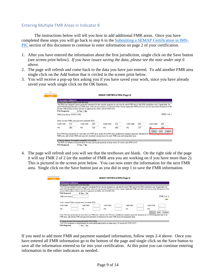## <span id="page-8-0"></span>Entering Multiple FMR Areas in Indicator 8

The instructions below will tell you how to add additional FMR areas. Once you have completed these steps you will go back to step 6 in the [Submitting a SEMAP Certification in IMS-](#page-5-0)PIC [section of this document to continue to enter information on page 2 of your certification.](#page-5-0)

- 1. After you have entered the information about the first jurisdiction, single click on the Save button (see screen print below). *If you have issues saving the data, please see the note under step 6 above.*
- 2. The page will refresh and come back to the data you have just entered. To add another FMR area single click on the Add button that is circled in the screen print below.
- 3. You will receive a pop-up box asking you if you have saved your work, since you have already saved your work single click on the OK button.

|           | <b>Performance Indicators</b>                                                                                                                                                                                                                                                                                |     |                                                                                                                           |     |          |     |          |     |          |               |  |  |
|-----------|--------------------------------------------------------------------------------------------------------------------------------------------------------------------------------------------------------------------------------------------------------------------------------------------------------------|-----|---------------------------------------------------------------------------------------------------------------------------|-----|----------|-----|----------|-----|----------|---------------|--|--|
|           | 8 Payment Standards(24 CFR 982.503)                                                                                                                                                                                                                                                                          |     |                                                                                                                           |     |          |     |          |     |          |               |  |  |
|           | The PHA has adopted current payment standards for the voucher program by unit size for each FMR area in the PHA jurisdiction and, if applicable, for<br>each PHA-designated part of an FMR area, which do not exceed 110 percent of the current applicable FMR and which are not less than 90 percent of the |     |                                                                                                                           |     |          |     |          |     |          |               |  |  |
|           |                                                                                                                                                                                                                                                                                                              |     | current FMR (unless a lower percent is approved by HUD). (24 CFR 982.503).                                                |     |          |     |          |     |          |               |  |  |
|           | <b>PHA Response</b>                                                                                                                                                                                                                                                                                          |     | O Yes No                                                                                                                  |     |          |     |          |     |          |               |  |  |
|           | FMR Area Name Adair County                                                                                                                                                                                                                                                                                   |     |                                                                                                                           |     |          |     |          |     |          | $FMR1$ of $1$ |  |  |
|           |                                                                                                                                                                                                                                                                                                              |     |                                                                                                                           |     |          |     |          |     |          |               |  |  |
|           |                                                                                                                                                                                                                                                                                                              |     | Enter current FMRs and payment standards (PS)                                                                             |     |          |     |          |     |          |               |  |  |
|           | 0-BR FMR                                                                                                                                                                                                                                                                                                     | 419 | 1-BR FMR                                                                                                                  | 458 | 2-BR FMR | 619 | 3-BR FMR | 863 | 4-BR FMR | 866           |  |  |
| <b>PS</b> |                                                                                                                                                                                                                                                                                                              | 386 | PS                                                                                                                        | 439 | PS       | 566 | PS       | 777 | PS       | 790           |  |  |
|           |                                                                                                                                                                                                                                                                                                              |     |                                                                                                                           |     |          |     |          |     | Save     | Add<br>Delete |  |  |
|           |                                                                                                                                                                                                                                                                                                              |     | If the PHA has jurisdiction in more than one FMR area, and/or if the PHA has established separate payment standards for a |     |          |     |          |     |          |               |  |  |
|           |                                                                                                                                                                                                                                                                                                              |     | FMR area, add similar FMR and payment standard comparisions for each FMR area and designated area.                        |     |          |     |          |     |          |               |  |  |
|           |                                                                                                                                                                                                                                                                                                              |     |                                                                                                                           |     |          |     |          |     |          |               |  |  |

4. The page will refresh and you will see that the textboxes are blank. On the right side of the page it will say FMR 2 of 2 (or the number of FMR area you are working on if you have more than 2). This is pictured in the screen print below. You can now enter the information for the next FMR area. Single click on the Save button just as you did in step 1 to save the FMR information.

|  | <b>Performance Indicators</b>       |                                                                           |                                                                                                    |          |                                                                                                                                                                                                                                                                                                              |        |
|--|-------------------------------------|---------------------------------------------------------------------------|----------------------------------------------------------------------------------------------------|----------|--------------------------------------------------------------------------------------------------------------------------------------------------------------------------------------------------------------------------------------------------------------------------------------------------------------|--------|
|  | 8 Payment Standards(24 CFR 982.503) |                                                                           |                                                                                                    |          |                                                                                                                                                                                                                                                                                                              |        |
|  |                                     | current FMR (unless a lower percent is approved by HUD). (24 CFR 982.503) |                                                                                                    |          | The PHA has adopted current payment standards for the voucher program by unit size for each FMR area in the PHA jurisdiction and, if applicable, for<br>each PHA-designated part of an FMR area, which do not exceed 110 percent of the current applicable FMR and which are not less than 90 percent of the |        |
|  | <b>PHA Response</b>                 | $\odot$ Yes $\odot$ No                                                    |                                                                                                    |          |                                                                                                                                                                                                                                                                                                              |        |
|  | <b>FMR Area Name</b>                |                                                                           |                                                                                                    |          | $FMR2$ of 2                                                                                                                                                                                                                                                                                                  |        |
|  |                                     |                                                                           |                                                                                                    |          |                                                                                                                                                                                                                                                                                                              |        |
|  |                                     | Enter current FMRs and payment standards (PS)                             |                                                                                                    |          |                                                                                                                                                                                                                                                                                                              |        |
|  | 0-BR FMR                            | 1-BR FMR                                                                  | 2-BR FMR                                                                                           | 3-BR FMR | 4-BR FMR                                                                                                                                                                                                                                                                                                     |        |
|  | PS                                  | PS                                                                        | PS                                                                                                 | PS       | PS                                                                                                                                                                                                                                                                                                           |        |
|  |                                     |                                                                           |                                                                                                    |          | Add<br>Save                                                                                                                                                                                                                                                                                                  | Delete |
|  |                                     |                                                                           |                                                                                                    |          | If the PHA has jurisdiction in more than one FMR area, and/or if the PHA has established separate payment standards for a PHA-designated part of an                                                                                                                                                          |        |
|  |                                     |                                                                           | FMR area, add similar FMR and payment standard comparisions for each FMR area and designated area. |          |                                                                                                                                                                                                                                                                                                              |        |
|  |                                     |                                                                           |                                                                                                    |          |                                                                                                                                                                                                                                                                                                              |        |

If you need to add more FMR and payment standard information, follow steps 2-4 above. Once you have entered all FMR information go to the bottom of the page and single click on the Save button to save all the information entered so far into your certification. At this point you can continue entering information in the other indicators as needed.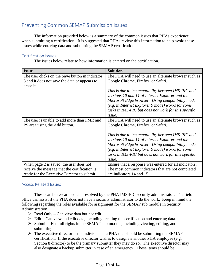## <span id="page-9-0"></span>Preventing Common SEMAP Submission Issues

The information provided below is a summary of the common issues that PHAs experience when submitting a certification. It is suggested that PHAs review this information to help avoid these issues while entering data and submitting the SEMAP certification.

### <span id="page-9-1"></span>Certification Issues

The issues below relate to how information is entered on the certification.

| <b>Issue</b>                                    | <b>Solution</b>                                        |
|-------------------------------------------------|--------------------------------------------------------|
| The user clicks on the Save button in indicator | The PHA will need to use an alternate browser such as  |
| 8 and it does not save the data or appears to   | Google Chrome, Firefox, or Safari.                     |
| erase it.                                       |                                                        |
|                                                 | This is due to incompatibility between IMS-PIC and     |
|                                                 | versions 10 and 11 of Internet Explorer and the        |
|                                                 | Microsoft Edge browser. Using compatibility mode       |
|                                                 | (e.g. in Internet Explorer 9 mode) works for some      |
|                                                 | tasks in IMS-PIC but does not work for this specific   |
|                                                 | issue.                                                 |
| The user is unable to add more than FMR and     | The PHA will need to use an alternate browser such as  |
| PS area using the Add button.                   | Google Chrome, Firefox, or Safari.                     |
|                                                 |                                                        |
|                                                 | This is due to incompatibility between IMS-PIC and     |
|                                                 | versions 10 and 11 of Internet Explorer and the        |
|                                                 | Microsoft Edge browser. Using compatibility mode       |
|                                                 | (e.g. in Internet Explorer 9 mode) works for some      |
|                                                 | tasks in IMS-PIC but does not work for this specific   |
|                                                 | <i>issue.</i>                                          |
| When page 2 is saved, the user does not         | Ensure that a response was entered for all indicators. |
| receive the message that the certification is   | The most common indicators that are not completed      |
| ready for the Executive Director to submit.     | are indicators 14 and 15.                              |

## <span id="page-9-2"></span>Access Related Issues

These can be researched and resolved by the PHA IMS-PIC security administrator. The field office can assist if the PHA does not have a security administrator to do the work. Keep in mind the following regarding the roles available for assignment for the SEMAP sub module in Security Administration.

- $\triangleright$  Read Only Can view data but not edit
- $\triangleright$  Edit Can view and edit data, including creating the certification and entering data.
- $\triangleright$  Submit Has full rights in the SEMAP sub module, including viewing, editing, and submitting data.
- $\triangleright$  The executive director is the individual at a PHA that should be submitting the SEMAP certification. If the executive director wishes to designate another PHA employee (e.g. Section 8 director) to be the primary submitter they may do so. The executive director may also designate a backup submitter in case of an emergency. These items should be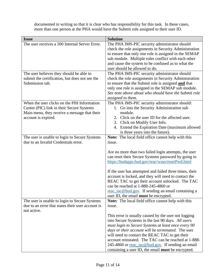documented in writing so that it is clear who has responsibility for this task. In these cases, more than one person at the PHA would have the Submit role assigned to their user ID.

| <b>Issue</b>                                      | <b>Solution</b>                                                                                            |
|---------------------------------------------------|------------------------------------------------------------------------------------------------------------|
| The user receives a 500 Internal Server Error.    | The PHA IMS-PIC security administrator should                                                              |
|                                                   | check the role assignments in Security Administration                                                      |
|                                                   | to ensure that only one role is assigned in the SEMAP                                                      |
|                                                   | sub module. Multiple roles conflict with each other                                                        |
|                                                   | and cause the system to be confused as to what the                                                         |
|                                                   | user should be allowed to do.                                                                              |
| The user believes they should be able to          | The PHA IMS-PIC security administrator should                                                              |
| submit the certification, but does not see the    | check the role assignments in Security Administration                                                      |
| Submission tab.                                   | to ensure that the Submit role is assigned and that                                                        |
|                                                   | only one role is assigned in the SEMAP sub module.<br>See note above about who should have the Submit role |
|                                                   | assigned to them.                                                                                          |
| When the user clicks on the PIH Information       | The PHA IMS-PIC security administrator should:                                                             |
| Center (PIC) link in their Secure Systems         | 1. Go into the Security Administration sub                                                                 |
| Main menu, they receive a message that their      | module.                                                                                                    |
| account is expired.                               | 2. Click on the user ID for the affected user.                                                             |
|                                                   | 3. Click on Modify User Info.                                                                              |
|                                                   | 4. Extend the Expiration Date (maximum allowed                                                             |
|                                                   | is three years into the future).                                                                           |
| The user is unable to login to Secure Systems     | Note: The local field office cannot help with this                                                         |
| due to an Invalid Credentials error.              | issue.                                                                                                     |
|                                                   |                                                                                                            |
|                                                   | Are no more than two failed login attempts, the user                                                       |
|                                                   | can reset their Secure Systems password by going to                                                        |
|                                                   | https://hudapps.hud.gov/reac/wass/resetPwd.html                                                            |
|                                                   |                                                                                                            |
|                                                   | If the user has attempted and failed three times, their                                                    |
|                                                   | account is locked, and they will need to contact the<br>REAC TAC to get their account unlocked. The TAC    |
|                                                   | can be reached at 1-888-245-4860 or                                                                        |
|                                                   | reac_tac@hud.gov. If sending an email containing a                                                         |
|                                                   | user ID, the email must be encrypted.                                                                      |
| The user is unable to login to Secure Systems     | <b>Note:</b> The local field office cannot help with this                                                  |
| due to an error that states their user account is | issue.                                                                                                     |
| not active.                                       |                                                                                                            |
|                                                   | This error is usually caused by the user not logging                                                       |
|                                                   | into Secure Systems in the last 90 days. All users                                                         |
|                                                   | must login to Secure Systems at least once every 90                                                        |
|                                                   | days or their account will be terminated. The user                                                         |
|                                                   | will need to contact the REAC TAC to get their                                                             |
|                                                   | account reinstated. The TAC can be reached at 1-888-                                                       |
|                                                   | 245-4860 or <u>reac_tac@hud.gov</u> . If sending an email                                                  |
|                                                   | containing a user ID, the email <b>must</b> be encrypted.                                                  |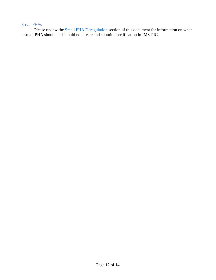## <span id="page-11-0"></span>Small PHAs

Please review the **Small PHA Deregulation** section of this document for information on when a small PHA should and should not create and submit a certification in IMS-PIC.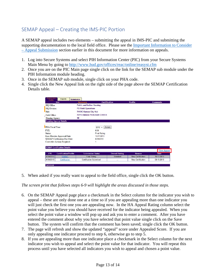# <span id="page-12-0"></span>SEMAP Appeal – Creating the IMS-PIC Portion

A SEMAP appeal includes two elements – submitting the appeal in IMS-PIC and submitting the supporting documentation to the local field office. Please see the [Important Information to Consider](#page-3-2)  – Appeal Submission [section earlier in this document for more information on appeals.](#page-3-2)

- 1. Log into Secure Systems and select PIH Information Center (PIC) from your Secure Systems Main Menu by going to<http://www.hud.gov/offices/reac/online/reasyst.cfm>
- 2. Once you are on the PIC Main page single click on the link for the SEMAP sub module under the PIH Information module heading.
- 3. Once in the SEMAP sub module, single click on your PHA code.
- 4. Single click the New Appeal link on the right side of the page above the SEMAP Certification Details table.

|                        | List                                 | <b>Summary</b>                   | <b>Certification</b> |                       | <b>Profile</b>           | <b>Comments</b> |
|------------------------|--------------------------------------|----------------------------------|----------------------|-----------------------|--------------------------|-----------------|
| HQ Office:             |                                      | <b>Public and Indian Housing</b> |                      |                       |                          |                 |
| <b>HO</b> Division:    |                                      | <b>PO Field Operations</b>       |                      |                       |                          |                 |
| Hub:                   |                                      | <b>7HKNC Kansas City Hub</b>     |                      |                       |                          |                 |
| Field Office:          |                                      | <b>7DPH OMAHA PROGRAM CENTER</b> |                      |                       |                          |                 |
| Housing Agency.        |                                      | <b>NE</b>                        |                      |                       |                          |                 |
|                        | <b>Housing Agency Details</b>        |                                  |                      |                       |                          |                 |
| <b>PHA Fiscal Year</b> |                                      |                                  | Select<br>$2013 -$   |                       |                          |                 |
| FYE:                   |                                      | 6/30                             |                      |                       |                          |                 |
| Status:                |                                      | <b>Final Rating</b>              |                      |                       |                          |                 |
|                        | Exec Director Approval Date:         |                                  | 10/17/2013           |                       |                          |                 |
|                        | <b>SEMAP Certification Due Date:</b> |                                  | 8/29/2013            |                       |                          |                 |
|                        | Corrective Actions Required:         |                                  | 1                    |                       |                          |                 |
|                        |                                      |                                  |                      |                       |                          |                 |
|                        | <b>SEMAP Certification Details</b>   |                                  |                      |                       |                          | New Appeal      |
| <b>FYE</b>             | <b>Certification/Profile</b>         | <b>Submission Status</b>         |                      | <b>Overall Rating</b> | Reason                   | <b>Date</b>     |
| 6/30/2013              | Profile1                             | <b>Final Rating</b>              |                      | <b>Standard</b>       | <b>New Certification</b> | 10-17-2013      |
| 6/30/2013              | Certification                        | <b>Certification Submitted</b>   |                      |                       | <b>New Certification</b> | 08-15-2013      |

5. When asked if you really want to appeal to the field office, single click the OK button.

*The screen print that follows steps 6-9 will highlight the areas discussed in those steps.*

- 6. On the SEMAP Appeal page place a checkmark in the Select column for the indicator you wish to appeal – these are only done one at a time so if you are appealing more than one indicator you will just check the first one you are appealing now. In the HA Appeal Rating column select the point value you believe you should have received for the indicator being appealed. When you select the point value a window will pop up and ask you to enter a comment. After you have entered the comment about why you have selected that point value single click on the Save button. The system will confirm that the comment has been saved; single click the OK button.
- 7. The page will refresh and show the updated "appeal" score under Appealed Score. If you are only appealing one indicator proceed to step 6, otherwise go to step 5.
- 8. If you are appealing more than one indicator place a checkmark in the Select column for the next indicator you wish to appeal and select the point value for that indicator. You will repeat this process until you have selected all indicators you wish to appeal and chosen a point value.